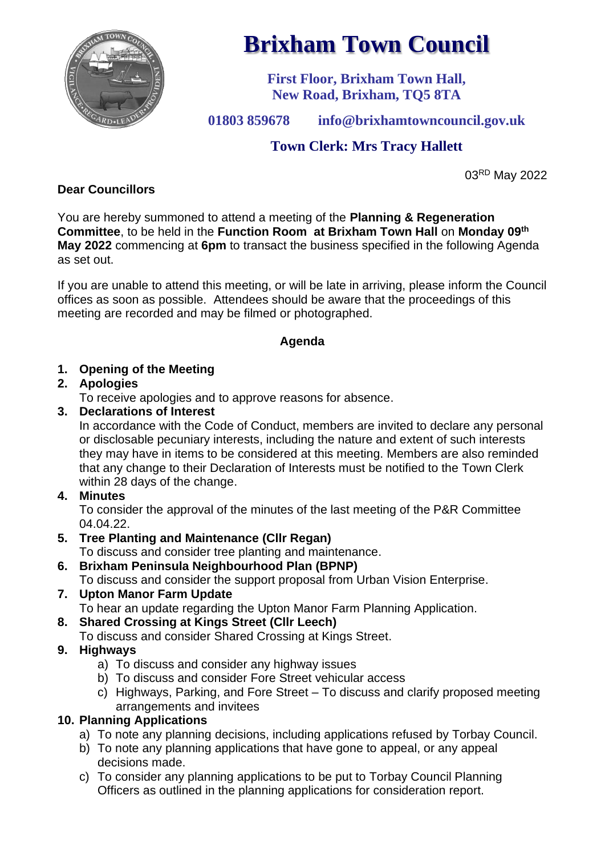

# **Brixham Town Council**

**First Floor, Brixham Town Hall, New Road, Brixham, TQ5 8TA**

**01803 859678 info@brixhamtowncouncil.gov.uk**

# **Town Clerk: Mrs Tracy Hallett**

03RD May 2022

# **Dear Councillors**

You are hereby summoned to attend a meeting of the **Planning & Regeneration Committee**, to be held in the **Function Room at Brixham Town Hall** on **Monday 09 th May 2022** commencing at **6pm** to transact the business specified in the following Agenda as set out.

If you are unable to attend this meeting, or will be late in arriving, please inform the Council offices as soon as possible. Attendees should be aware that the proceedings of this meeting are recorded and may be filmed or photographed.

## **Agenda**

## **1. Opening of the Meeting**

## **2. Apologies**

To receive apologies and to approve reasons for absence.

## **3. Declarations of Interest**

In accordance with the Code of Conduct, members are invited to declare any personal or disclosable pecuniary interests, including the nature and extent of such interests they may have in items to be considered at this meeting. Members are also reminded that any change to their Declaration of Interests must be notified to the Town Clerk within 28 days of the change.

#### **4. Minutes**

To consider the approval of the minutes of the last meeting of the P&R Committee 04.04.22.

- **5. Tree Planting and Maintenance (Cllr Regan)** To discuss and consider tree planting and maintenance.
- **6. Brixham Peninsula Neighbourhood Plan (BPNP)** To discuss and consider the support proposal from Urban Vision Enterprise.
- **7. Upton Manor Farm Update** To hear an update regarding the Upton Manor Farm Planning Application.
- **8. Shared Crossing at Kings Street (Cllr Leech)**
	- To discuss and consider Shared Crossing at Kings Street.
- **9. Highways**
	- a) To discuss and consider any highway issues
	- b) To discuss and consider Fore Street vehicular access
	- c) Highways, Parking, and Fore Street To discuss and clarify proposed meeting arrangements and invitees

## **10. Planning Applications**

- a) To note any planning decisions, including applications refused by Torbay Council.
- b) To note any planning applications that have gone to appeal, or any appeal decisions made.
- c) To consider any planning applications to be put to Torbay Council Planning Officers as outlined in the planning applications for consideration report.